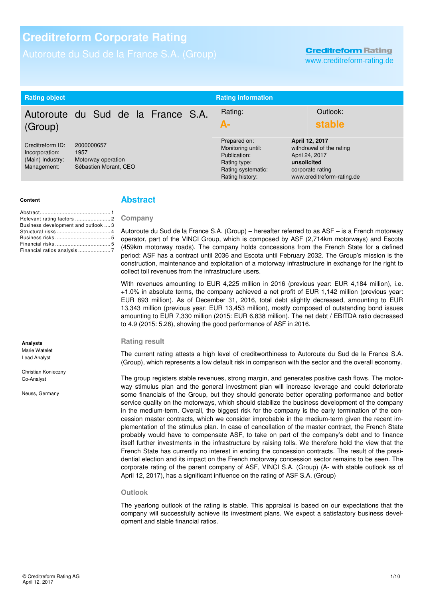### **Creditreform Rating**

www.creditreform-rating.de

| <b>Rating object</b>                                                                                                                       |                                    |                                                                                                            | <b>Rating information</b>                                                                                                     |                    |
|--------------------------------------------------------------------------------------------------------------------------------------------|------------------------------------|------------------------------------------------------------------------------------------------------------|-------------------------------------------------------------------------------------------------------------------------------|--------------------|
| (Group)                                                                                                                                    | Autoroute du Sud de la France S.A. |                                                                                                            | Rating:<br>А-                                                                                                                 | Outlook:<br>stable |
| Creditreform ID:<br>2000000657<br>Incorporation:<br>1957<br>(Main) Industry:<br>Motorway operation<br>Sébastien Morant, CEO<br>Management: |                                    | Prepared on:<br>Monitoring until:<br>Publication:<br>Rating type:<br>Rating systematic:<br>Rating history: | April 12, 2017<br>withdrawal of the rating<br>April 24, 2017<br>unsolicited<br>corporate rating<br>www.creditreform-rating.de |                    |

#### **Content**

| Business development and outlook  3 |  |
|-------------------------------------|--|
|                                     |  |
|                                     |  |
|                                     |  |
| Financial ratios analysis 7         |  |
|                                     |  |

# **Analysts**  Marie Watelet

Lead Analyst

Christian Konieczny Co-Analyst

Neuss, Germany

### **Abstract**

#### **Company**

Autoroute du Sud de la France S.A. (Group) – hereafter referred to as ASF – is a French motorway operator, part of the VINCI Group, which is composed by ASF (2,714km motorways) and Escota (459km motorway roads). The company holds concessions from the French State for a defined period: ASF has a contract until 2036 and Escota until February 2032. The Group's mission is the construction, maintenance and exploitation of a motorway infrastructure in exchange for the right to collect toll revenues from the infrastructure users.

With revenues amounting to EUR 4,225 million in 2016 (previous year: EUR 4,184 million), i.e. +1.0% in absolute terms, the company achieved a net profit of EUR 1,142 million (previous year: EUR 893 million). As of December 31, 2016, total debt slightly decreased, amounting to EUR 13,343 million (previous year: EUR 13,453 million), mostly composed of outstanding bond issues amounting to EUR 7,330 million (2015: EUR 6,838 million). The net debt / EBITDA ratio decreased to 4.9 (2015: 5.28), showing the good performance of ASF in 2016.

#### **Rating result**

The current rating attests a high level of creditworthiness to Autoroute du Sud de la France S.A. (Group), which represents a low default risk in comparison with the sector and the overall economy.

The group registers stable revenues, strong margin, and generates positive cash flows. The motorway stimulus plan and the general investment plan will increase leverage and could deteriorate some financials of the Group, but they should generate better operating performance and better service quality on the motorways, which should stabilize the business development of the company in the medium-term. Overall, the biggest risk for the company is the early termination of the concession master contracts, which we consider improbable in the medium-term given the recent implementation of the stimulus plan. In case of cancellation of the master contract, the French State probably would have to compensate ASF, to take on part of the company's debt and to finance itself further investments in the infrastructure by raising tolls. We therefore hold the view that the French State has currently no interest in ending the concession contracts. The result of the presidential election and its impact on the French motorway concession sector remains to be seen. The corporate rating of the parent company of ASF, VINCI S.A. (Group) (A- with stable outlook as of April 12, 2017), has a significant influence on the rating of ASF S.A. (Group)

#### **Outlook**

The yearlong outlook of the rating is stable. This appraisal is based on our expectations that the company will successfully achieve its investment plans. We expect a satisfactory business development and stable financial ratios.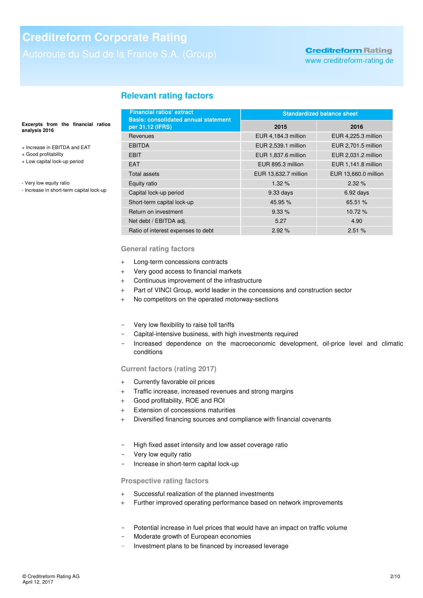# **Creditreform Rating**

www.creditreform-rating.de

# **Relevant rating factors**

#### **Excerpts from the financial ratios analysis 2016**

- + Increase in EBITDA and EAT
- + Good profitability
- + Low capital lock-up period
- Very low equity ratio
- Increase in short-term capital lock-up

| <b>Financial ratios' extract</b><br><b>Basis: consolidated annual statement</b> | <b>Standardized balance sheet</b> |                      |  |
|---------------------------------------------------------------------------------|-----------------------------------|----------------------|--|
| per 31.12 (IFRS)                                                                | 2015                              | 2016                 |  |
| Revenues                                                                        | EUR 4,184.3 million               | EUR 4,225.3 million  |  |
| <b>EBITDA</b>                                                                   | EUR 2,539.1 million               | EUR 2,701.5 million  |  |
| <b>EBIT</b>                                                                     | EUR 1,837.6 million               | EUR 2,031.2 million  |  |
| <b>EAT</b>                                                                      | EUR 895.3 million                 | EUR 1,141.8 million  |  |
| Total assets                                                                    | EUR 13,632.7 million              | EUR 13,660.0 million |  |
| Equity ratio                                                                    | 1.32%                             | 2.32%                |  |
| Capital lock-up period                                                          | 9.33 days                         | $6.92$ days          |  |
| Short-term capital lock-up                                                      | 45.95 %                           | 65.51 %              |  |
| Return on investment                                                            | 9.33%                             | 10.72 %              |  |
| Net debt / EBITDA adj.                                                          | 5.27                              | 4.90                 |  |
| Ratio of interest expenses to debt                                              | 2.92%                             | 2.51%                |  |

#### **General rating factors**

- + Long-term concessions contracts
- + Very good access to financial markets
- + Continuous improvement of the infrastructure
- + Part of VINCI Group, world leader in the concessions and construction sector
- + No competitors on the operated motorway-sections
- Very low flexibility to raise toll tariffs
- Capital-intensive business, with high investments required
- Increased dependence on the macroeconomic development, oil-price level and climatic conditions

### **Current factors (rating 2017)**

- + Currently favorable oil prices
- + Traffic increase, increased revenues and strong margins
- + Good profitability, ROE and ROI
- + Extension of concessions maturities
- + Diversified financing sources and compliance with financial covenants
- High fixed asset intensity and low asset coverage ratio
- Very low equity ratio
- Increase in short-term capital lock-up

#### **Prospective rating factors**

- + Successful realization of the planned investments
- + Further improved operating performance based on network improvements
- Potential increase in fuel prices that would have an impact on traffic volume
- Moderate growth of European economies
- Investment plans to be financed by increased leverage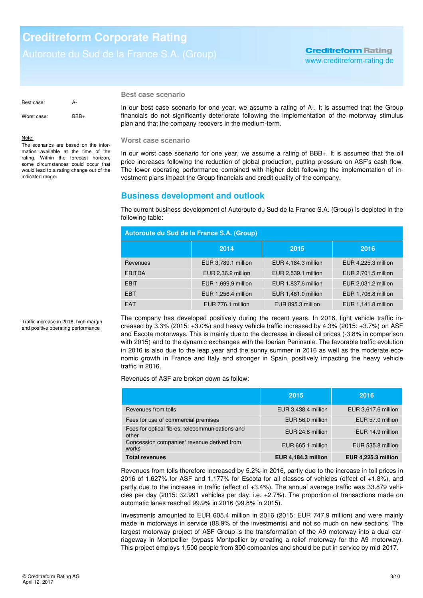## **Creditreform Rating** www.creditreform-rating.de

Best case: A-Worst case: BBB+

#### Note:

The scenarios are based on the information available at the time of the rating. Within the forecast horizon, some circumstances could occur that would lead to a rating change out of the indicated range.

### **Best case scenario**

In our best case scenario for one year, we assume a rating of A-. It is assumed that the Group financials do not significantly deteriorate following the implementation of the motorway stimulus plan and that the company recovers in the medium-term.

#### **Worst case scenario**

In our worst case scenario for one year, we assume a rating of BBB+. It is assumed that the oil price increases following the reduction of global production, putting pressure on ASF's cash flow. The lower operating performance combined with higher debt following the implementation of investment plans impact the Group financials and credit quality of the company.

## **Business development and outlook**

The current business development of Autoroute du Sud de la France S.A. (Group) is depicted in the following table:

| Autoroute du Sud de la France S.A. (Group) |                     |                     |                     |  |
|--------------------------------------------|---------------------|---------------------|---------------------|--|
|                                            | 2014                | 2015                | 2016                |  |
| Revenues                                   | EUR 3,789.1 million | EUR 4,184.3 million | EUR 4,225.3 million |  |
| <b>EBITDA</b>                              | EUR 2,36.2 million  | EUR 2,539.1 million | EUR 2,701.5 million |  |
| <b>EBIT</b>                                | EUR 1,699.9 million | EUR 1,837.6 million | EUR 2,031.2 million |  |
| <b>EBT</b>                                 | EUR 1,256.4 million | EUR 1,461.0 million | EUR 1,706.8 million |  |
| EAT                                        | EUR 776.1 million   | EUR 895.3 million   | EUR 1,141.8 million |  |

Traffic increase in 2016, high margin and positive operating performance

The company has developed positively during the recent years. In 2016, light vehicle traffic increased by 3.3% (2015: +3.0%) and heavy vehicle traffic increased by 4.3% (2015: +3.7%) on ASF and Escota motorways. This is mainly due to the decrease in diesel oil prices (-3.8% in comparison with 2015) and to the dynamic exchanges with the Iberian Peninsula. The favorable traffic evolution in 2016 is also due to the leap year and the sunny summer in 2016 as well as the moderate economic growth in France and Italy and stronger in Spain, positively impacting the heavy vehicle traffic in 2016.

Revenues of ASF are broken down as follow:

|                                                          | 2015                       | 2016                       |
|----------------------------------------------------------|----------------------------|----------------------------|
| Revenues from tolls                                      | EUR 3,438.4 million        | EUR 3,617.6 million        |
| Fees for use of commercial premises                      | EUR 56.0 million           | EUR 57.0 million           |
| Fees for optical fibres, telecommunications and<br>other | EUR 24.8 million           | EUR 14.9 million           |
| Concession companies' revenue derived from<br>works      | EUR 665.1 million          | EUR 535.8 million          |
| <b>Total revenues</b>                                    | <b>EUR 4,184.3 million</b> | <b>EUR 4,225.3 million</b> |

Revenues from tolls therefore increased by 5.2% in 2016, partly due to the increase in toll prices in 2016 of 1.627% for ASF and 1.177% for Escota for all classes of vehicles (effect of +1.8%), and partly due to the increase in traffic (effect of +3.4%). The annual average traffic was 33.879 vehicles per day (2015: 32.991 vehicles per day; i.e. +2.7%). The proportion of transactions made on automatic lanes reached 99.9% in 2016 (99.8% in 2015).

Investments amounted to EUR 605.4 million in 2016 (2015: EUR 747.9 million) and were mainly made in motorways in service (88.9% of the investments) and not so much on new sections. The largest motorway project of ASF Group is the transformation of the A9 motorway into a dual carriageway in Montpellier (bypass Montpellier by creating a relief motorway for the A9 motorway). This project employs 1,500 people from 300 companies and should be put in service by mid-2017.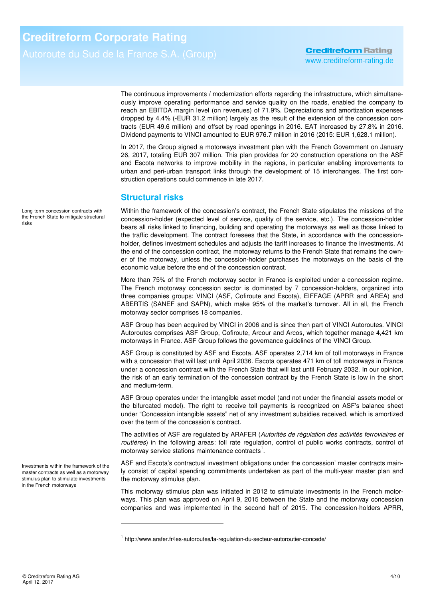The continuous improvements / modernization efforts regarding the infrastructure, which simultaneously improve operating performance and service quality on the roads, enabled the company to reach an EBITDA margin level (on revenues) of 71.9%. Depreciations and amortization expenses dropped by 4.4% (-EUR 31.2 million) largely as the result of the extension of the concession contracts (EUR 49.6 million) and offset by road openings in 2016. EAT increased by 27.8% in 2016. Dividend payments to VINCI amounted to EUR 976.7 million in 2016 (2015: EUR 1,628.1 million).

In 2017, the Group signed a motorways investment plan with the French Government on January 26, 2017, totaling EUR 307 million. This plan provides for 20 construction operations on the ASF and Escota networks to improve mobility in the regions, in particular enabling improvements to urban and peri-urban transport links through the development of 15 interchanges. The first construction operations could commence in late 2017.

### **Structural risks**

Within the framework of the concession's contract, the French State stipulates the missions of the concession-holder (expected level of service, quality of the service, etc.). The concession-holder bears all risks linked to financing, building and operating the motorways as well as those linked to the traffic development. The contract foresees that the State, in accordance with the concessionholder, defines investment schedules and adjusts the tariff increases to finance the investments. At the end of the concession contract, the motorway returns to the French State that remains the owner of the motorway, unless the concession-holder purchases the motorways on the basis of the economic value before the end of the concession contract.

More than 75% of the French motorway sector in France is exploited under a concession regime. The French motorway concession sector is dominated by 7 concession-holders, organized into three companies groups: VINCI (ASF, Cofiroute and Escota), EIFFAGE (APRR and AREA) and ABERTIS (SANEF and SAPN), which make 95% of the market's turnover. All in all, the French motorway sector comprises 18 companies.

ASF Group has been acquired by VINCI in 2006 and is since then part of VINCI Autoroutes. VINCI Autoroutes comprises ASF Group, Cofiroute, Arcour and Arcos, which together manage 4,421 km motorways in France. ASF Group follows the governance guidelines of the VINCI Group.

ASF Group is constituted by ASF and Escota. ASF operates 2,714 km of toll motorways in France with a concession that will last until April 2036. Escota operates 471 km of toll motorways in France under a concession contract with the French State that will last until February 2032. In our opinion, the risk of an early termination of the concession contract by the French State is low in the short and medium-term.

ASF Group operates under the intangible asset model (and not under the financial assets model or the bifurcated model). The right to receive toll payments is recognized on ASF's balance sheet under "Concession intangible assets" net of any investment subsidies received, which is amortized over the term of the concession's contract.

The activities of ASF are regulated by ARAFER (Autorités de régulation des activités ferroviaires et routières) in the following areas: toll rate regulation, control of public works contracts, control of motorway service stations maintenance contracts<sup>1</sup>.

ASF and Escota's contractual investment obligations under the concession' master contracts mainly consist of capital spending commitments undertaken as part of the multi-year master plan and the motorway stimulus plan.

This motorway stimulus plan was initiated in 2012 to stimulate investments in the French motorways. This plan was approved on April 9, 2015 between the State and the motorway concession companies and was implemented in the second half of 2015. The concession-holders APRR,

Long-term concession contracts with the French State to mitigate structural risks

Investments within the framework of the master contracts as well as a motorway stimulus plan to stimulate investments in the French motorways

l

<sup>&</sup>lt;sup>1</sup> http://www.arafer.fr/les-autoroutes/la-regulation-du-secteur-autoroutier-concede/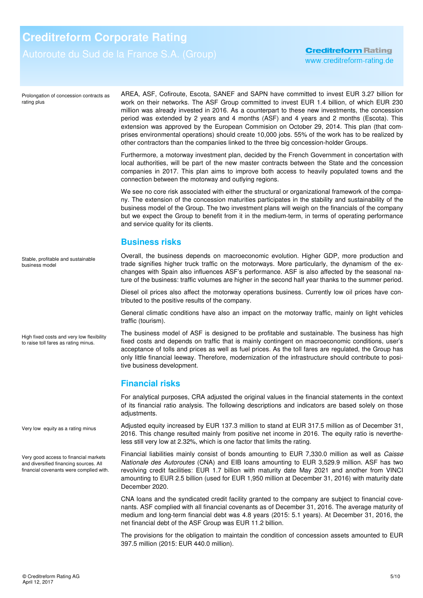Prolongation of concession contracts as rating plus

AREA, ASF, Cofiroute, Escota, SANEF and SAPN have committed to invest EUR 3.27 billion for work on their networks. The ASF Group committed to invest EUR 1.4 billion, of which EUR 230 million was already invested in 2016. As a counterpart to these new investments, the concession period was extended by 2 years and 4 months (ASF) and 4 years and 2 months (Escota). This extension was approved by the European Commision on October 29, 2014. This plan (that comprises environmental operations) should create 10,000 jobs. 55% of the work has to be realized by other contractors than the companies linked to the three big concession-holder Groups.

Furthermore, a motorway investment plan, decided by the French Government in concertation with local authorities, will be part of the new master contracts between the State and the concession companies in 2017. This plan aims to improve both access to heavily populated towns and the connection between the motorway and outlying regions.

We see no core risk associated with either the structural or organizational framework of the company. The extension of the concession maturities participates in the stability and sustainability of the business model of the Group. The two investment plans will weigh on the financials of the company but we expect the Group to benefit from it in the medium-term, in terms of operating performance and service quality for its clients.

## **Business risks**

Overall, the business depends on macroeconomic evolution. Higher GDP, more production and trade signifies higher truck traffic on the motorways. More particularly, the dynamism of the exchanges with Spain also influences ASF's performance. ASF is also affected by the seasonal nature of the business: traffic volumes are higher in the second half year thanks to the summer period.

Diesel oil prices also affect the motorway operations business. Currently low oil prices have contributed to the positive results of the company.

General climatic conditions have also an impact on the motorway traffic, mainly on light vehicles traffic (tourism).

The business model of ASF is designed to be profitable and sustainable. The business has high fixed costs and depends on traffic that is mainly contingent on macroeconomic conditions, user's acceptance of tolls and prices as well as fuel prices. As the toll fares are regulated, the Group has only little financial leeway. Therefore, modernization of the infrastructure should contribute to positive business development.

### **Financial risks**

For analytical purposes, CRA adjusted the original values in the financial statements in the context of its financial ratio analysis. The following descriptions and indicators are based solely on those adjustments.

Adjusted equity increased by EUR 137.3 million to stand at EUR 317.5 million as of December 31, 2016. This change resulted mainly from positive net income in 2016. The equity ratio is nevertheless still very low at 2.32%, which is one factor that limits the rating.

Financial liabilities mainly consist of bonds amounting to EUR 7,330.0 million as well as Caisse Nationale des Autoroutes (CNA) and EIB loans amounting to EUR 3,529.9 million. ASF has two revolving credit facilities: EUR 1.7 billion with maturity date May 2021 and another from VINCI amounting to EUR 2.5 billion (used for EUR 1,950 million at December 31, 2016) with maturity date December 2020.

CNA loans and the syndicated credit facility granted to the company are subject to financial covenants. ASF complied with all financial covenants as of December 31, 2016. The average maturity of medium and long-term financial debt was 4.8 years (2015: 5.1 years). At December 31, 2016, the net financial debt of the ASF Group was EUR 11.2 billion.

The provisions for the obligation to maintain the condition of concession assets amounted to EUR 397.5 million (2015: EUR 440.0 million).

Stable, profitable and sustainable business model

High fixed costs and very low flexibility to raise toll fares as rating minus.

Very low equity as a rating minus

Very good access to financial markets and diversified financing sources. All financial covenants were complied with.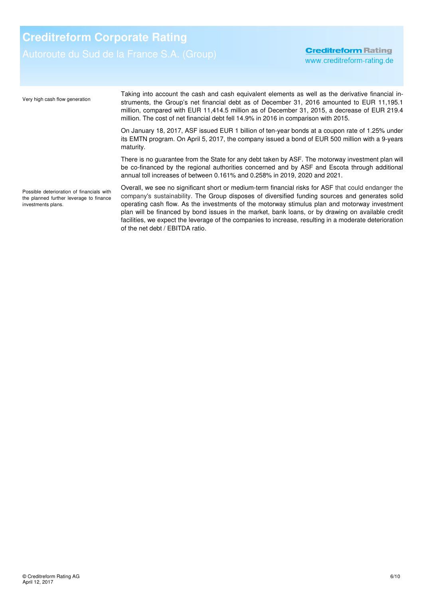**Creditreform Rating** www.creditreform-rating.de

Taking into account the cash and cash equivalent elements as well as the derivative financial instruments, the Group's net financial debt as of December 31, 2016 amounted to EUR 11,195.1 million, compared with EUR 11,414.5 million as of December 31, 2015, a decrease of EUR 219.4 million. The cost of net financial debt fell 14.9% in 2016 in comparison with 2015. On January 18, 2017, ASF issued EUR 1 billion of ten-year bonds at a coupon rate of 1.25% under its EMTN program. On April 5, 2017, the company issued a bond of EUR 500 million with a 9-years maturity. There is no guarantee from the State for any debt taken by ASF. The motorway investment plan will be co-financed by the regional authorities concerned and by ASF and Escota through additional annual toll increases of between 0.161% and 0.258% in 2019, 2020 and 2021. Overall, we see no significant short or medium-term financial risks for ASF that could endanger the company's sustainability. The Group disposes of diversified funding sources and generates solid operating cash flow. As the investments of the motorway stimulus plan and motorway investment plan will be financed by bond issues in the market, bank loans, or by drawing on available credit facilities, we expect the leverage of the companies to increase, resulting in a moderate deterioration Very high cash flow generation Possible deterioration of financials with the planned further leverage to finance investments plans.

of the net debt / EBITDA ratio.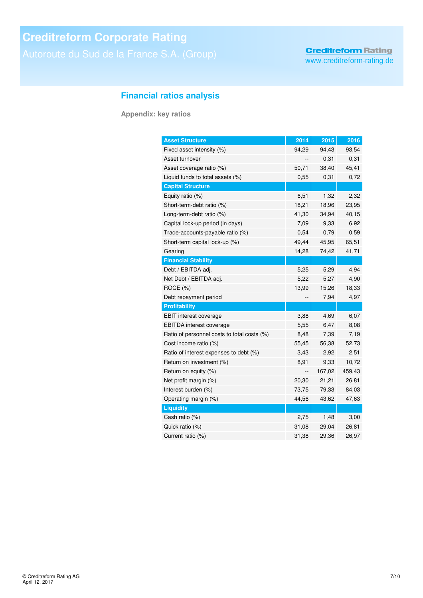# **Financial ratios analysis**

**Appendix: key ratios** 

| <b>Asset Structure</b>                      | 2014  | 2015   | 2016   |
|---------------------------------------------|-------|--------|--------|
| Fixed asset intensity (%)                   | 94,29 | 94,43  | 93,54  |
| Asset turnover                              |       | 0,31   | 0,31   |
| Asset coverage ratio (%)                    | 50,71 | 38,40  | 45,41  |
| Liquid funds to total assets (%)            | 0,55  | 0,31   | 0,72   |
| <b>Capital Structure</b>                    |       |        |        |
| Equity ratio (%)                            | 6,51  | 1,32   | 2,32   |
| Short-term-debt ratio (%)                   | 18,21 | 18,96  | 23,95  |
| Long-term-debt ratio (%)                    | 41,30 | 34,94  | 40,15  |
| Capital lock-up period (in days)            | 7,09  | 9,33   | 6,92   |
| Trade-accounts-payable ratio (%)            | 0,54  | 0.79   | 0,59   |
| Short-term capital lock-up (%)              | 49,44 | 45,95  | 65,51  |
| Gearing                                     | 14,28 | 74,42  | 41,71  |
| <b>Financial Stability</b>                  |       |        |        |
| Debt / EBITDA adj.                          | 5,25  | 5,29   | 4,94   |
| Net Debt / EBITDA adj.                      | 5,22  | 5,27   | 4,90   |
| ROCE (%)                                    | 13,99 | 15,26  | 18,33  |
| Debt repayment period                       |       | 7,94   | 4,97   |
| <b>Profitability</b>                        |       |        |        |
| <b>EBIT</b> interest coverage               | 3,88  | 4,69   | 6,07   |
| EBITDA interest coverage                    | 5,55  | 6,47   | 8,08   |
| Ratio of personnel costs to total costs (%) | 8,48  | 7,39   | 7,19   |
| Cost income ratio (%)                       | 55,45 | 56,38  | 52,73  |
| Ratio of interest expenses to debt (%)      | 3,43  | 2,92   | 2,51   |
| Return on investment (%)                    | 8,91  | 9,33   | 10,72  |
| Return on equity (%)                        | --    | 167,02 | 459,43 |
| Net profit margin (%)                       | 20,30 | 21,21  | 26,81  |
| Interest burden (%)                         | 73,75 | 79,33  | 84,03  |
| Operating margin (%)                        | 44,56 | 43,62  | 47,63  |
| <b>Liquidity</b>                            |       |        |        |
| Cash ratio (%)                              | 2,75  | 1,48   | 3,00   |
| Quick ratio (%)                             | 31,08 | 29,04  | 26,81  |
| Current ratio (%)                           | 31,38 | 29,36  | 26,97  |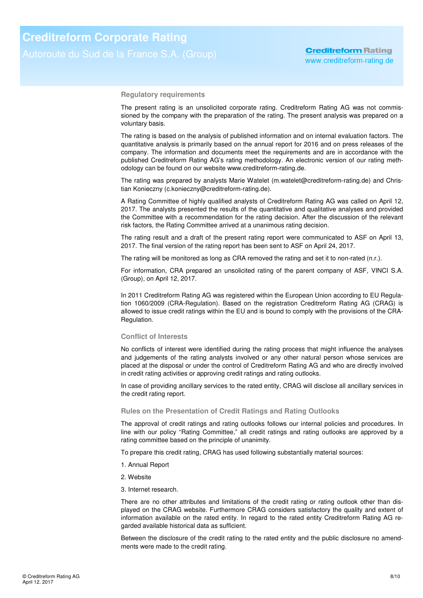**Regulatory requirements** 

The present rating is an unsolicited corporate rating. Creditreform Rating AG was not commissioned by the company with the preparation of the rating. The present analysis was prepared on a voluntary basis.

The rating is based on the analysis of published information and on internal evaluation factors. The quantitative analysis is primarily based on the annual report for 2016 and on press releases of the company. The information and documents meet the requirements and are in accordance with the published Creditreform Rating AG's rating methodology. An electronic version of our rating methodology can be found on our website www.creditreform-rating.de.

The rating was prepared by analysts Marie Watelet (m.watelet@creditreform-rating.de) and Christian Konieczny (c.konieczny@creditreform-rating.de).

A Rating Committee of highly qualified analysts of Creditreform Rating AG was called on April 12, 2017. The analysts presented the results of the quantitative and qualitative analyses and provided the Committee with a recommendation for the rating decision. After the discussion of the relevant risk factors, the Rating Committee arrived at a unanimous rating decision.

The rating result and a draft of the present rating report were communicated to ASF on April 13, 2017. The final version of the rating report has been sent to ASF on April 24, 2017.

The rating will be monitored as long as CRA removed the rating and set it to non-rated (n.r.).

For information, CRA prepared an unsolicited rating of the parent company of ASF, VINCI S.A. (Group), on April 12, 2017.

In 2011 Creditreform Rating AG was registered within the European Union according to EU Regulation 1060/2009 (CRA-Regulation). Based on the registration Creditreform Rating AG (CRAG) is allowed to issue credit ratings within the EU and is bound to comply with the provisions of the CRA-Regulation.

#### **Conflict of Interests**

No conflicts of interest were identified during the rating process that might influence the analyses and judgements of the rating analysts involved or any other natural person whose services are placed at the disposal or under the control of Creditreform Rating AG and who are directly involved in credit rating activities or approving credit ratings and rating outlooks.

In case of providing ancillary services to the rated entity, CRAG will disclose all ancillary services in the credit rating report.

#### **Rules on the Presentation of Credit Ratings and Rating Outlooks**

The approval of credit ratings and rating outlooks follows our internal policies and procedures. In line with our policy "Rating Committee," all credit ratings and rating outlooks are approved by a rating committee based on the principle of unanimity.

To prepare this credit rating, CRAG has used following substantially material sources:

- 1. Annual Report
- 2. Website
- 3. Internet research.

There are no other attributes and limitations of the credit rating or rating outlook other than displayed on the CRAG website. Furthermore CRAG considers satisfactory the quality and extent of information available on the rated entity. In regard to the rated entity Creditreform Rating AG regarded available historical data as sufficient.

Between the disclosure of the credit rating to the rated entity and the public disclosure no amendments were made to the credit rating.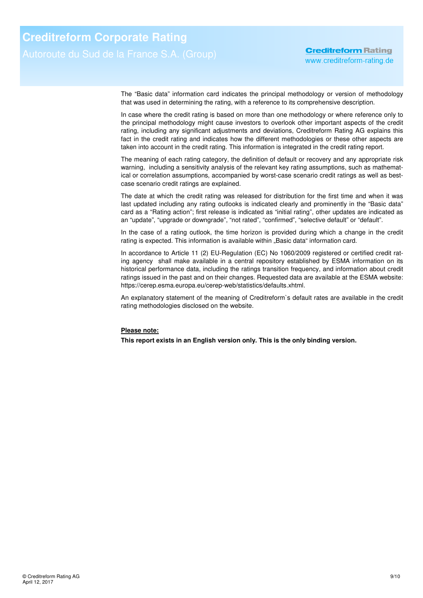The "Basic data" information card indicates the principal methodology or version of methodology that was used in determining the rating, with a reference to its comprehensive description.

In case where the credit rating is based on more than one methodology or where reference only to the principal methodology might cause investors to overlook other important aspects of the credit rating, including any significant adjustments and deviations, Creditreform Rating AG explains this fact in the credit rating and indicates how the different methodologies or these other aspects are taken into account in the credit rating. This information is integrated in the credit rating report.

The meaning of each rating category, the definition of default or recovery and any appropriate risk warning, including a sensitivity analysis of the relevant key rating assumptions, such as mathematical or correlation assumptions, accompanied by worst-case scenario credit ratings as well as bestcase scenario credit ratings are explained.

The date at which the credit rating was released for distribution for the first time and when it was last updated including any rating outlooks is indicated clearly and prominently in the "Basic data" card as a "Rating action"; first release is indicated as "initial rating", other updates are indicated as an "update", "upgrade or downgrade", "not rated", "confirmed", "selective default" or "default".

In the case of a rating outlook, the time horizon is provided during which a change in the credit rating is expected. This information is available within "Basic data" information card.

In accordance to Article 11 (2) EU-Regulation (EC) No 1060/2009 registered or certified credit rating agency shall make available in a central repository established by ESMA information on its historical performance data, including the ratings transition frequency, and information about credit ratings issued in the past and on their changes. Requested data are available at the ESMA website: https://cerep.esma.europa.eu/cerep-web/statistics/defaults.xhtml.

An explanatory statement of the meaning of Creditreform`s default rates are available in the credit rating methodologies disclosed on the website.

### **Please note:**

**This report exists in an English version only. This is the only binding version.**